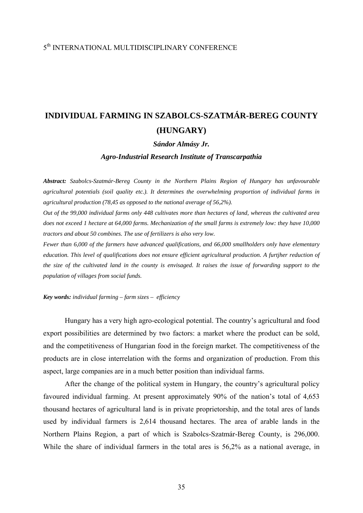## 5th INTERNATIONAL MULTIDISCIPLINARY CONFERENCE

## **INDIVIDUAL FARMING IN SZABOLCS-SZATMÁR-BEREG COUNTY (HUNGARY)**

## *Sándor Almásy Jr.*

*Agro-Industrial Research Institute of Transcarpathia* 

*Abstract: Szabolcs-Szatmár-Bereg County in the Northern Plains Region of Hungary has unfavourable agricultural potentials (soil quality etc.). It determines the overwhelming proportion of individual farms in agricultural production (78,45 as opposed to the national average of 56,2%).* 

*Out of the 99,000 individual farms only 448 cultivates more than hectares of land, whereas the cultivated area does not exceed 1 hectare at 64,000 farms. Mechanization of the small farms is extremely low: they have 10,000 tractors and about 50 combines. The use of fertilizers is also very low.* 

*Fewer than 6,000 of the farmers have advanced qualifications, and 66,000 smallholders only have elementary education. This level of qualifications does not ensure efficient agricultural production. A furtjher reduction of the size of the cultivated land in the county is envisaged. It raises the issue of forwarding support to the population of villages from social funds.* 

*Key words: individual farming – farm sizes – efficiency* 

Hungary has a very high agro-ecological potential. The country's agricultural and food export possibilities are determined by two factors: a market where the product can be sold, and the competitiveness of Hungarian food in the foreign market. The competitiveness of the products are in close interrelation with the forms and organization of production. From this aspect, large companies are in a much better position than individual farms.

After the change of the political system in Hungary, the country's agricultural policy favoured individual farming. At present approximately 90% of the nation's total of 4,653 thousand hectares of agricultural land is in private proprietorship, and the total ares of lands used by individual farmers is 2,614 thousand hectares. The area of arable lands in the Northern Plains Region, a part of which is Szabolcs-Szatmár-Bereg County, is 296,000. While the share of individual farmers in the total ares is 56,2% as a national average, in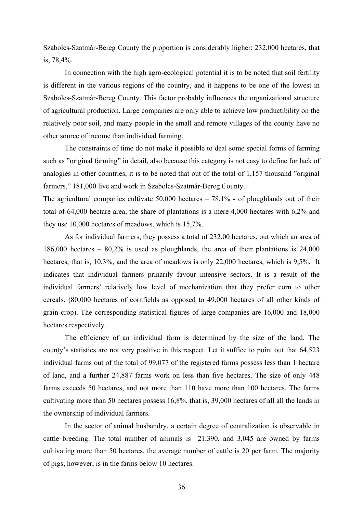Szabolcs-Szatmár-Bereg County the proportion is considerably higher: 232,000 hectares, that is, 78,4%.

In connection with the high agro-ecological potential it is to be noted that soil fertility is different in the various regions of the country, and it happens to be one of the lowest in Szabolcs-Szatmár-Bereg County. This factor probably influences the organizational structure of agricultural production. Large companies are only able to achieve low productibility on the relatively poor soil, and many people in the small and remote villages of the county have no other source of income than individual farming.

The constraints of time do not make it possible to deal some special forms of farming such as "original farming" in detail, also because this category is not easy to define for lack of analogies in other countries, it is to be noted that out of the total of 1,157 thousand "original farmers," 181,000 live and work in Szabolcs-Szatmár-Bereg County.

The agricultural companies cultivate  $50,000$  hectares  $-78,1\%$  - of ploughlands out of their total of 64,000 hectare area, the share of plantations is a mere 4,000 hectares with 6,2% and they use 10,000 hectares of meadows, which is 15,7%.

As for individual farmers, they possess a total of 232,00 hectares, out which an area of 186,000 hectares – 80,2% is used as ploughlands, the area of their plantations is 24,000 hectares, that is, 10,3%, and the area of meadows is only 22,000 hectares, which is 9,5%. It indicates that individual farmers prinarily favour intensive sectors. It is a result of the individual farmers' relatively low level of mechanization that they prefer corn to other cereals. (80,000 hectares of cornfields as opposed to 49,000 hectares of all other kinds of grain crop). The corresponding statistical figures of large companies are 16,000 and 18,000 hectares respectively.

The efficiency of an individual farm is determined by the size of the land. The county's statistics are not very positive in this respect. Let it suffice to point out that 64,523 individual farms out of the total of 99,077 of the registered farms possess less than 1 hectare of land, and a further 24,887 farms work on less than five hectares. The size of only 448 farms exceeds 50 hectares, and not more than 110 have more than 100 hectares. The farms cultivating more than 50 hectares possess 16,8%, that is, 39,000 hectares of all all the lands in the ownership of individual farmers.

In the sector of animal husbandry, a certain degree of centralization is observable in cattle breeding. The total number of animals is 21,390, and 3,045 are owned by farms cultivating more than 50 hectares. the average number of cattle is 20 per farm. The majority of pigs, however, is in the farms below 10 hectares.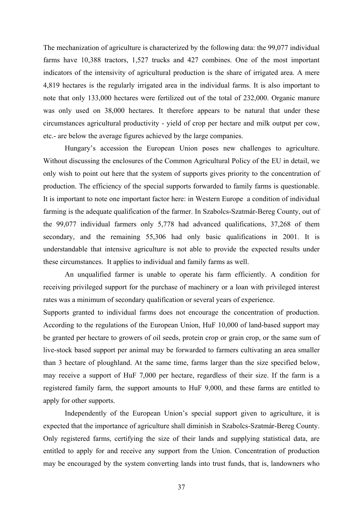The mechanization of agriculture is characterized by the following data: the 99,077 individual farms have 10,388 tractors, 1,527 trucks and 427 combines. One of the most important indicators of the intensivity of agricultural production is the share of irrigated area. A mere 4,819 hectares is the regularly irrigated area in the individual farms. It is also important to note that only 133,000 hectares were fertilized out of the total of 232,000. Organic manure was only used on 38,000 hectares. It therefore appears to be natural that under these circumstances agricultural productivity - yield of crop per hectare and milk output per cow, etc.- are below the average figures achieved by the large companies.

Hungary's accession the European Union poses new challenges to agriculture. Without discussing the enclosures of the Common Agricultural Policy of the EU in detail, we only wish to point out here that the system of supports gives priority to the concentration of production. The efficiency of the special supports forwarded to family farms is questionable. It is important to note one important factor here: in Western Europe a condition of individual farming is the adequate qualification of the farmer. In Szabolcs-Szatmár-Bereg County, out of the 99,077 individual farmers only 5,778 had advanced qualifications, 37,268 of them secondary, and the remaining 55,306 had only basic qualifications in 2001. It is understandable that intensive agriculture is not able to provide the expected results under these circumstances. It applies to individual and family farms as well.

An unqualified farmer is unable to operate his farm efficiently. A condition for receiving privileged support for the purchase of machinery or a loan with privileged interest rates was a minimum of secondary qualification or several years of experience.

Supports granted to individual farms does not encourage the concentration of production. According to the regulations of the European Union, HuF 10,000 of land-based support may be granted per hectare to growers of oil seeds, protein crop or grain crop, or the same sum of live-stock based support per animal may be forwarded to farmers cultivating an area smaller than 3 hectare of ploughland. At the same time, farms larger than the size specified below, may receive a support of HuF 7,000 per hectare, regardless of their size. If the farm is a registered family farm, the support amounts to HuF 9,000, and these farms are entitled to apply for other supports.

Independently of the European Union's special support given to agriculture, it is expected that the importance of agriculture shall diminish in Szabolcs-Szatmár-Bereg County. Only registered farms, certifying the size of their lands and supplying statistical data, are entitled to apply for and receive any support from the Union. Concentration of production may be encouraged by the system converting lands into trust funds, that is, landowners who